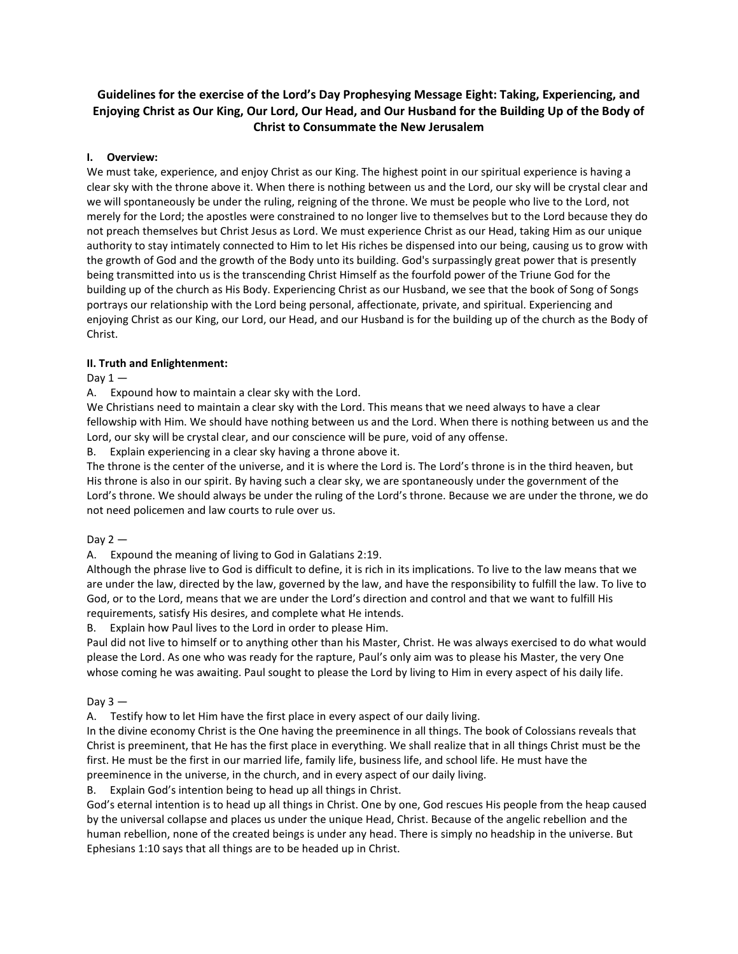# **Guidelines for the exercise of the Lord's Day Prophesying Message Eight: Taking, Experiencing, and Enjoying Christ as Our King, Our Lord, Our Head, and Our Husband for the Building Up of the Body of Christ to Consummate the New Jerusalem**

## **I. Overview:**

We must take, experience, and enjoy Christ as our King. The highest point in our spiritual experience is having a clear sky with the throne above it. When there is nothing between us and the Lord, our sky will be crystal clear and we will spontaneously be under the ruling, reigning of the throne. We must be people who live to the Lord, not merely for the Lord; the apostles were constrained to no longer live to themselves but to the Lord because they do not preach themselves but Christ Jesus as Lord. We must experience Christ as our Head, taking Him as our unique authority to stay intimately connected to Him to let His riches be dispensed into our being, causing us to grow with the growth of God and the growth of the Body unto its building. God's surpassingly great power that is presently being transmitted into us is the transcending Christ Himself as the fourfold power of the Triune God for the building up of the church as His Body. Experiencing Christ as our Husband, we see that the book of Song of Songs portrays our relationship with the Lord being personal, affectionate, private, and spiritual. Experiencing and enjoying Christ as our King, our Lord, our Head, and our Husband is for the building up of the church as the Body of Christ.

## **II. Truth and Enlightenment:**

## Day  $1 -$

A. Expound how to maintain a clear sky with the Lord.

We Christians need to maintain a clear sky with the Lord. This means that we need always to have a clear fellowship with Him. We should have nothing between us and the Lord. When there is nothing between us and the Lord, our sky will be crystal clear, and our conscience will be pure, void of any offense.

B. Explain experiencing in a clear sky having a throne above it.

The throne is the center of the universe, and it is where the Lord is. The Lord's throne is in the third heaven, but His throne is also in our spirit. By having such a clear sky, we are spontaneously under the government of the Lord's throne. We should always be under the ruling of the Lord's throne. Because we are under the throne, we do not need policemen and law courts to rule over us.

# Day  $2 -$

A. Expound the meaning of living to God in Galatians 2:19.

Although the phrase live to God is difficult to define, it is rich in its implications. To live to the law means that we are under the law, directed by the law, governed by the law, and have the responsibility to fulfill the law. To live to God, or to the Lord, means that we are under the Lord's direction and control and that we want to fulfill His requirements, satisfy His desires, and complete what He intends.

B. Explain how Paul lives to the Lord in order to please Him.

Paul did not live to himself or to anything other than his Master, Christ. He was always exercised to do what would please the Lord. As one who was ready for the rapture, Paul's only aim was to please his Master, the very One whose coming he was awaiting. Paul sought to please the Lord by living to Him in every aspect of his daily life.

#### Day  $3 -$

A. Testify how to let Him have the first place in every aspect of our daily living.

In the divine economy Christ is the One having the preeminence in all things. The book of Colossians reveals that Christ is preeminent, that He has the first place in everything. We shall realize that in all things Christ must be the first. He must be the first in our married life, family life, business life, and school life. He must have the preeminence in the universe, in the church, and in every aspect of our daily living.

B. Explain God's intention being to head up all things in Christ.

God's eternal intention is to head up all things in Christ. One by one, God rescues His people from the heap caused by the universal collapse and places us under the unique Head, Christ. Because of the angelic rebellion and the human rebellion, none of the created beings is under any head. There is simply no headship in the universe. But Ephesians 1:10 says that all things are to be headed up in Christ.